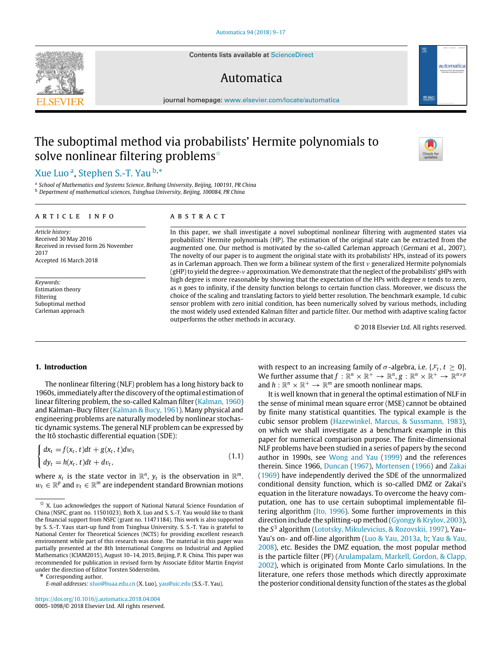Contents lists available at [ScienceDirect](http://www.elsevier.com/locate/automatica)

## Automatica

journal homepage: [www.elsevier.com/locate/automatica](http://www.elsevier.com/locate/automatica)

# The suboptimal method via probabilists' Hermite polynomials to solve nonlinear filtering problems<sup> $\hat{ }$ </sup>

## [Xue](#page-8-0) [Luo](#page-8-0) <sup>[a](#page-0-1)</sup>, [Stephen S.-T.](#page-8-1) [Yau](#page-8-1) <sup>[b,](#page-0-2)[\\*](#page-0-3)</sup>

<span id="page-0-2"></span><span id="page-0-1"></span>a *School of Mathematics and Systems Science, Beihang University, Beijing, 100191, PR China* <sup>b</sup> *Department of mathematical sciences, Tsinghua University, Beijing, 100084, PR China*

#### ARTICLE INFO

*Article history:* Received 30 May 2016 Received in revised form 26 November 2017 Accepted 16 March 2018

*Keywords:* Estimation theory Filtering Suboptimal method Carleman approach

## a b s t r a c t

In this paper, we shall investigate a novel suboptimal nonlinear filtering with augmented states via probabilists' Hermite polynomials (HP). The estimation of the original state can be extracted from the augmented one. Our method is motivated by the so-called Carleman approach (Germani et al., 2007). The novelty of our paper is to augment the original state with its probabilists' HPs, instead of its powers as in Carleman approach. Then we form a bilinear system of the first  $\nu$  generalized Hermite polynomials (gHP) to yield the degree-ν approximation. We demonstrate that the neglect of the probabilists' gHPs with high degree is more reasonable by showing that the expectation of the HPs with degree *n* tends to zero, as *n* goes to infinity, if the density function belongs to certain function class. Moreover, we discuss the choice of the scaling and translating factors to yield better resolution. The benchmark example, 1d cubic sensor problem with zero initial condition, has been numerically solved by various methods, including the most widely used extended Kalman filter and particle filter. Our method with adaptive scaling factor outperforms the other methods in accuracy.

© 2018 Elsevier Ltd. All rights reserved.

## **1. Introduction**

The nonlinear filtering (NLF) problem has a long history back to 1960s, immediately after the discovery of the optimal estimation of linear filtering problem, the so-called Kalman filter [\(Kalman,](#page-8-2) [1960\)](#page-8-2) and Kalman–Bucy filter [\(Kalman](#page-8-3) [&](#page-8-3) [Bucy,](#page-8-3) [1961\)](#page-8-3). Many physical and engineering problems are naturally modeled by nonlinear stochastic dynamic systems. The general NLF problem can be expressed by the Itô stochastic differential equation (SDE):

$$
\begin{cases} dx_t = f(x_t, t)dt + g(x_t, t)dw_t \\ dy_t = h(x_t, t)dt + dv_t, \end{cases}
$$
\n(1.1)

where  $x_t$  is the state vector in  $\mathbb{R}^n$ ,  $y_t$  is the observation in  $\mathbb{R}^m$ .  $w_t \in \mathbb{R}^p$  and  $v_t \in \mathbb{R}^m$  are independent standard Brownian motions

<span id="page-0-3"></span>\* Corresponding author.

with respect to an increasing family of  $\sigma$ -algebra, i.e. { $\mathcal{F}_t$ ,  $t \geq 0$ }. We further assume that  $f : \mathbb{R}^n \times \mathbb{R}^+ \to \mathbb{R}^n$ ,  $g : \mathbb{R}^n \times \mathbb{R}^+ \to \mathbb{R}^{n \times p}$ and  $h : \mathbb{R}^n \times \mathbb{R}^+ \to \mathbb{R}^m$  are smooth nonlinear maps.

It is well known that in general the optimal estimation of NLF in the sense of minimal mean square error (MSE) cannot be obtained by finite many statistical quantities. The typical example is the cubic sensor problem [\(Hazewinkel,](#page-8-4) [Marcus,](#page-8-4) [&](#page-8-4) [Sussmann,](#page-8-4) [1983\)](#page-8-4), on which we shall investigate as a benchmark example in this paper for numerical comparison purpose. The finite-dimensional NLF problems have been studied in a series of papers by the second author in 1990s, see [Wong](#page-8-5) [and](#page-8-5) [Yau](#page-8-5) [\(1999\)](#page-8-5) and the references therein. Since 1966, [Duncan](#page-8-6) [\(1967\)](#page-8-6), [Mortensen](#page-8-7) [\(1966\)](#page-8-7) and [Zakai](#page-8-8) [\(1969\)](#page-8-8) have independently derived the SDE of the unnormalized conditional density function, which is so-called DMZ or Zakai's equation in the literature nowadays. To overcome the heavy computation, one has to use certain suboptimal implementable filtering algorithm [\(Ito,](#page-8-9) [1996\)](#page-8-9). Some further improvements in this direction include the splitting-up method [\(Gyongy](#page-8-10) [&](#page-8-10) [Krylov,](#page-8-10) [2003\)](#page-8-10), the *S* 3 algorithm [\(Lototsky,](#page-8-11) [Mikulevicius,](#page-8-11) [&](#page-8-11) [Rozovskii,](#page-8-11) [1997\)](#page-8-11), Yau– Yau's on- and off-line algorithm [\(Luo](#page-8-12) [&](#page-8-12) [Yau,](#page-8-12) [2013a,](#page-8-12) [b;](#page-8-12) [Yau](#page-8-13) [&](#page-8-13) [Yau,](#page-8-13) [2008\)](#page-8-13), etc. Besides the DMZ equation, the most popular method is the particle filter (PF) [\(Arulampalam,](#page-7-0) [Markell,](#page-7-0) [Gordon,](#page-7-0) [&](#page-7-0) [Clapp,](#page-7-0) [2002\)](#page-7-0), which is originated from Monte Carlo simulations. In the literature, one refers those methods which directly approximate the posterior conditional density function of the states as the global





automatica

<span id="page-0-0"></span> $\overrightarrow{x}$  X. Luo acknowledges the support of National Natural Science Foundation of China (NSFC, grant no. 11501023). Both X. Luo and S. S.-T. Yau would like to thank the financial support from NSFC (grant no. 11471184). This work is also supported by S. S.-T. Yaus start-up fund from Tsinghua University. S. S.-T. Yau is grateful to National Center for Theoretical Sciences (NCTS) for providing excellent research environment while part of this research was done. The material in this paper was partially presented at the 8th International Congress on Industrial and Applied Mathematics (ICIAM2015), August 10–14, 2015, Beijing, P. R. China. This paper was recommended for publication in revised form by Associate Editor Martin Enqvist under the direction of Editor Torsten Söderström.

*E-mail addresses:* [xluo@buaa.edu.cn](mailto:xluo@buaa.edu.cn) (X. Luo), [yau@uic.edu](mailto:yau@uic.edu) (S.S.-T. Yau).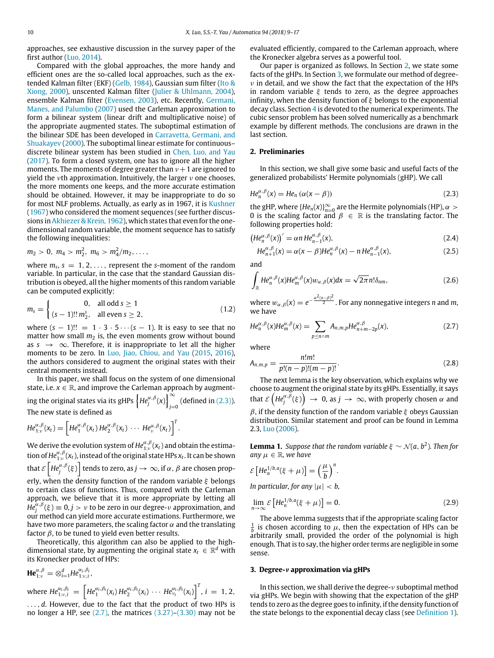approaches, see exhaustive discussion in the survey paper of the first author [\(Luo,](#page-8-14) [2014\)](#page-8-14).

Compared with the global approaches, the more handy and efficient ones are the so-called local approaches, such as the extended Kalman filter (EKF) [\(Gelb,](#page-8-15) [1984\)](#page-8-15), Gaussian sum filter [\(Ito](#page-8-16) [&](#page-8-16) [Xiong,](#page-8-16) [2000\)](#page-8-16), unscented Kalman filter [\(Julier](#page-8-17) [&](#page-8-17) [Uhlmann,](#page-8-17) [2004\)](#page-8-17), ensemble Kalman filter [\(Evensen,](#page-8-18) [2003\)](#page-8-18), etc. Recently, [Germani,](#page-8-19) [Manes,](#page-8-19) [and](#page-8-19) [Palumbo](#page-8-19) [\(2007\)](#page-8-19) used the Carleman approximation to form a bilinear system (linear drift and multiplicative noise) of the appropriate augmented states. The suboptimal estimation of the bilinear SDE has been developed in [Carravetta,](#page-8-20) [Germani,](#page-8-20) [and](#page-8-20) [Shuakayev](#page-8-20) [\(2000\)](#page-8-20). The suboptimal linear estimate for continuous– discrete bilinear system has been studied in [Chen,](#page-8-21) [Luo,](#page-8-21) [and](#page-8-21) [Yau](#page-8-21) [\(2017\)](#page-8-21). To form a closed system, one has to ignore all the higher moments. The moments of degree greater than  $\nu + 1$  are ignored to yield the  $\nu$ th approximation. Intuitively, the larger  $\nu$  one chooses, the more moments one keeps, and the more accurate estimation should be obtained. However, it may be inappropriate to do so for most NLF problems. Actually, as early as in 1967, it is [Kushner](#page-8-22) [\(1967\)](#page-8-22) who considered the moment sequences (see further discus-sions in Akhiezer & Krein, [1962\)](#page-7-1), which states that even for the onedimensional random variable, the moment sequence has to satisfy the following inequalities:

$$
m_2 > 0
$$
,  $m_4 > m_2^2$ ,  $m_6 > m_4^2/m_2$ , ...,

where  $m_s$ ,  $s = 1, 2, \ldots$ , represent the *s*-moment of the random variable. In particular, in the case that the standard Gaussian distribution is obeyed, all the higher moments of this random variable can be computed explicitly:

$$
m_s = \begin{cases} 0, & \text{all odd } s \ge 1\\ (s-1)!! \, m_2^s, & \text{all even } s \ge 2, \end{cases}
$$
 (1.2)

where  $(s - 1)!! = 1 \cdot 3 \cdot 5 \cdots (s - 1)$ . It is easy to see that no matter how small  $m_2$  is, the even moments grow without bound as  $s \rightarrow \infty$ . Therefore, it is inappropriate to let all the higher moments to be zero. In [Luo,](#page-8-23) [Jiao,](#page-8-23) [Chiou,](#page-8-23) [and](#page-8-23) [Yau](#page-8-23) [\(2015,](#page-8-23) [2016\)](#page-8-23), the authors considered to augment the original states with their central moments instead.

In this paper, we shall focus on the system of one dimensional state, i.e.  $x \in \mathbb{R}$ , and improve the Carleman approach by augmenting the original states via its gHPs  $\left\{He_j^{\alpha,\beta}(x)\right\}_i^{\infty}$ *j*=0 (defined in [\(2.3\)\)](#page-1-0). The new state is defined as

$$
He_{1:v}^{\alpha,\beta}(x_t) = \left[He_1^{\alpha,\beta}(x_t)He_2^{\alpha,\beta}(x_t)\cdots He_v^{\alpha,\beta}(x_t)\right]^T.
$$

We derive the evolution system of  $He^{\alpha,\beta}_{1:\nu}(x_t)$  and obtain the estimation of  $He_{1:v}^{\alpha,\beta}(x_t)$ , instead of the original state HPs  $x_t$ . It can be shown

that  $\mathscr{\mathcal{E}}\left[\mathit{He}_{j}^{\alpha,\beta}(\xi)\right]$  tends to zero, as  $j\rightarrow\infty$ , if  $\alpha,\,\beta$  are chosen prop-

erly, when the density function of the random variable  $\xi$  belongs to certain class of functions. Thus, compared with the Carleman approach, we believe that it is more appropriate by letting all  $He^{ \alpha, \beta}_{j}(\xi) \equiv 0, j > \nu$  to be zero in our degree- $\nu$  approximation, and our method can yield more accurate estimations. Furthermore, we have two more parameters, the scaling factor  $\alpha$  and the translating factor  $\beta$ , to be tuned to yield even better results.

Theoretically, this algorithm can also be applied to the highdimensional state, by augmenting the original state  $x_t\, \in\, \mathbb{R}^d$  with its Kronecker product of HPs:

**He**<sup>α,β</sup></sup><sub>1:ν</sub> =  $\otimes_{i=1}^{d}He_{1:v,i}^{\alpha_{i},\beta_{i}},$ where  $He_{1:v,i}^{\alpha_i,\beta_i} = \left[He_1^{\alpha_i,\beta_i}(x_i)He_2^{\alpha_i,\beta_i}(x_i)\,\cdots\,He_{v_i}^{\alpha_i,\beta_i}(x_i)\right]^T, i = 1,2,$ . . . , *d*. However, due to the fact that the product of two HPs is no longer a HP, see  $(2.7)$ , the matrices  $(3.27)-(3.30)$  $(3.27)-(3.30)$  may not be evaluated efficiently, compared to the Carleman approach, where the Kronecker algebra serves as a powerful tool.

Our paper is organized as follows. In Section [2,](#page-1-2) we state some facts of the gHPs. In Section [3,](#page-1-3) we formulate our method of degree- $\nu$  in detail, and we show the fact that the expectation of the HPs in random variable  $\xi$  tends to zero, as the degree approaches infinity, when the density function of  $\xi$  belongs to the exponential decay class. Section [4](#page-4-0) is devoted to the numerical experiments. The cubic sensor problem has been solved numerically as a benchmark example by different methods. The conclusions are drawn in the last section.

#### <span id="page-1-2"></span>**2. Preliminaries**

In this section, we shall give some basic and useful facts of the generalized probabilists' Hermite polynomials (gHP). We call

<span id="page-1-0"></span>
$$
He_n^{\alpha,\beta}(x) = He_n(\alpha(x-\beta))
$$
\n(2.3)

the gHP, where  ${He_n(x)}_{n=0}^{\infty}$  are the Hermite polynomials (HP),  $\alpha >$ 0 is the scaling factor and  $\beta \in \mathbb{R}$  is the translating factor. The following properties hold:

$$
\left(He_n^{\alpha,\beta}(x)\right)' = \alpha n \, He_{n-1}^{\alpha,\beta}(x),\tag{2.4}
$$

$$
He_{n+1}^{\alpha,\beta}(x) = \alpha(x-\beta)He_n^{\alpha,\beta}(x) - nHe_{n-1}^{\alpha,\beta}(x),\tag{2.5}
$$

and

$$
\int_{\mathbb{R}} H e_n^{\alpha,\beta}(x) H e_m^{\alpha,\beta}(x) w_{\alpha,\beta}(x) dx = \sqrt{2\pi} n! \delta_{nm},
$$
\n(2.6)

where  $w_{\alpha,\beta}(x) = e^{-\frac{\alpha^2(x-\beta)^2}{2}}$ . For any nonnegative integers *n* and *m*, we have

<span id="page-1-1"></span>
$$
He_n^{\alpha,\beta}(x)He_m^{\alpha,\beta}(x) = \sum_{p \le n \wedge m} A_{n,m,p}He_{n+m-2p}^{\alpha,\beta}(x),\tag{2.7}
$$

where

<span id="page-1-5"></span>
$$
A_{n,m,p} = \frac{n!m!}{p!(n-p)!(m-p)!}.
$$
\n(2.8)

The next lemma is the key observation, which explains why we choose to augment the original state by its gHPs. Essentially, it says that  $\mathcal{E}\left(He_j^{\alpha,\bar{\beta}}(\xi)\right) \rightarrow 0$ , as  $j \rightarrow \infty$ , with properly chosen  $\alpha$  and  $β$ , if the density function of the random variable ξ obeys Gaussian distribution. Similar statement and proof can be found in Lemma 2.3, [Luo](#page-8-24) [\(2006\)](#page-8-24).

<span id="page-1-6"></span>**Lemma 1.** *Suppose that the random variable*  $\xi \sim \mathcal{N}(a, b^2)$ *. Then for any*  $\mu \in \mathbb{R}$ *, we have* 

$$
\mathcal{E}\left[He_n^{1/b,a}(\xi+\mu)\right] = \left(\frac{\mu}{b}\right)^n.
$$

*In particular, for any*  $|\mu| < b$ ,

<span id="page-1-4"></span>
$$
\lim_{n \to \infty} \mathcal{E}\left[ H e_n^{1/b, a} (\xi + \mu) \right] = 0. \tag{2.9}
$$

The above lemma suggests that if the appropriate scaling factor 1  $\frac{b}{b}$  is chosen according to  $\mu$ , then the expectation of the set arbitrarily small, provided the order of the polynomial is high is chosen according to  $\mu$ , then the expectation of HPs can be enough. That is to say, the higher order terms are negligible in some sense.

#### <span id="page-1-3"></span>**3. Degree-**ν **approximation via gHPs**

In this section, we shall derive the degree- $\nu$  suboptimal method via gHPs. We begin with showing that the expectation of the gHP tends to zero as the degree goes to infinity, if the density function of the state belongs to the exponential decay class (see [Definition 1\)](#page-2-0).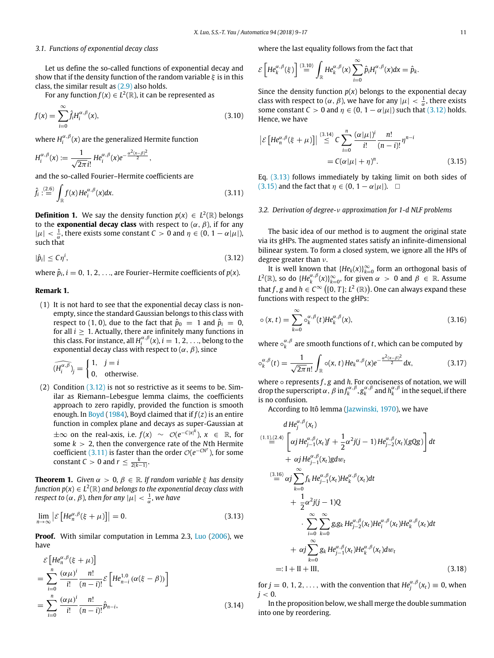### *3.1. Functions of exponential decay class*

Let us define the so-called functions of exponential decay and show that if the density function of the random variable  $\xi$  is in this class, the similar result as [\(2.9\)](#page-1-4) also holds.

For any function  $f(x) \in L^2(\mathbb{R})$ , it can be represented as

$$
f(x) = \sum_{i=0}^{\infty} \hat{f}_i H_i^{\alpha,\beta}(x),\tag{3.10}
$$

where  $H_i^{\alpha,\beta}(x)$  are the generalized Hermite function

$$
H_i^{\alpha,\beta}(x) := \frac{1}{\sqrt{2\pi i!}} H e_i^{\alpha,\beta}(x) e^{-\frac{\alpha^2(x-\beta)^2}{2}},
$$

and the so-called Fourier–Hermite coefficients are

<span id="page-2-2"></span>
$$
\hat{f}_i: \stackrel{(2.6)}{=} \int_{\mathbb{R}} f(x) H e_i^{\alpha,\beta}(x) dx.
$$
\n(3.11)

<span id="page-2-0"></span>**Definition 1.** We say the density function  $p(x) \in L^2(\mathbb{R})$  belongs to the **exponential decay class** with respect to  $(\alpha, \beta)$ , if for any  $|\mu| < \frac{1}{\alpha}$ , there exists some constant  $C > 0$  and  $\eta \in (0, 1 - \alpha |\mu|)$ , such that

<span id="page-2-1"></span>
$$
|\hat{p}_i| \leq C\eta^i,\tag{3.12}
$$

where  $\hat{p}_i$ ,  $i = 0, 1, 2, \ldots$ , are Fourier–Hermite coefficients of  $p(x)$ .

#### **Remark 1.**

(1) It is not hard to see that the exponential decay class is nonempty, since the standard Gaussian belongs to this class with respect to (1, 0), due to the fact that  $\hat{p}_0 = 1$  and  $\hat{p}_i = 0$ , for all  $i \geq 1$ . Actually, there are infinitely many functions in this class. For instance, all  $H_i^{\alpha,\beta}(x)$ ,  $i = 1, 2, \ldots$ , belong to the exponential decay class with respect to  $(\alpha, \beta)$ , since

$$
(\widehat{H_i^{\alpha,\beta}})_j = \begin{cases} 1, & j = i \\ 0, & \text{otherwise.} \end{cases}
$$

(2) Condition [\(3.12\)](#page-2-1) is not so restrictive as it seems to be. Similar as Riemann–Lebesgue lemma claims, the coefficients approach to zero rapidly, provided the function is smooth enough. In [Boyd](#page-8-25) [\(1984\)](#page-8-25), Boyd claimed that if *f* (*z*) is an entire function in complex plane and decays as super-Gaussian at  $\pm\infty$  on the real-axis, i.e.  $f(x) \sim \mathcal{O}(e^{-C|x|^k})$ ,  $x \in \mathbb{R}$ , for some *k* > 2, then the convergence rate of the *N*th Hermite coefficient [\(3.11\)](#page-2-2) is faster than the order  $O(e^{-CN^r})$ , for some  $\text{constant } C > 0 \text{ and } r \leq \frac{k}{2(k-1)}$ .

**Theorem 1.** *Given*  $\alpha > 0$ ,  $\beta \in \mathbb{R}$ . If random variable  $\xi$  has density function  $p(x) \in L^2(\mathbb{R})$  and belongs to the exponential decay class with *respect to*  $(\alpha, \beta)$ , then for any  $|\mu| < \frac{1}{\alpha}$ , we have

<span id="page-2-3"></span>
$$
\lim_{n \to \infty} \left| \mathcal{E} \left[ H e_n^{\alpha, \beta} (\xi + \mu) \right] \right| = 0. \tag{3.13}
$$

**Proof.** With similar computation in Lemma 2.3, [Luo](#page-8-24) [\(2006\)](#page-8-24), we have

$$
\mathcal{E}\left[He_n^{\alpha,\beta}(\xi+\mu)\right]
$$
  
= 
$$
\sum_{i=0}^n \frac{(\alpha\mu)^i}{i!} \frac{n!}{(n-i)!} \mathcal{E}\left[He_{n-i}^{1,0}(\alpha(\xi-\beta))\right]
$$
  
= 
$$
\sum_{i=0}^n \frac{(\alpha\mu)^i}{i!} \frac{n!}{(n-i)!} \hat{p}_{n-i},
$$
 (3.14)

where the last equality follows from the fact that

$$
\mathcal{E}\left[He^{\alpha,\beta}_k(\xi)\right] \stackrel{(3.10)}{=} \int_{\mathbb{R}} He^{\alpha,\beta}_k(x) \sum_{i=0}^{\infty} \hat{p}_i H_i^{\alpha,\beta}(x) dx = \hat{p}_k.
$$

Since the density function  $p(x)$  belongs to the exponential decay class with respect to  $(\alpha, \beta)$ , we have for any  $|\mu| < \frac{1}{\alpha}$ , there exists some constant  $C > 0$  and  $\eta \in (0, 1 - \alpha | \mu|)$  such that [\(3.12\)](#page-2-1) holds. Hence, we have

$$
\left| \mathcal{E} \left[ H e_n^{\alpha,\beta} (\xi + \mu) \right] \right| \stackrel{(3.14)}{\leq} C \sum_{i=0}^n \frac{(\alpha |\mu|)^i}{i!} \frac{n!}{(n-i)!} \eta^{n-i}
$$

$$
= C(\alpha |\mu| + \eta)^n. \tag{3.15}
$$

<span id="page-2-4"></span>Eq. [\(3.13\)](#page-2-3) follows immediately by taking limit on both sides of [\(3.15\)](#page-2-4) and the fact that  $\eta \in (0, 1 - \alpha|\mu|)$ . □

#### *3.2. Derivation of degree-*ν *approximation for 1-d NLF problems*

The basic idea of our method is to augment the original state via its gHPs. The augmented states satisfy an infinite-dimensional bilinear system. To form a closed system, we ignore all the HPs of degree greater than ν.

It is well known that  ${He_k(x)}_{k=0}^\infty$  form an orthogonal basis of  $L^2(\mathbb{R})$ , so do  $\{He_k^{\alpha,\beta}(x)\}_{k=0}^{\infty}$ , for given  $\alpha > 0$  and  $\beta \in \mathbb{R}$ . Assume that *f*, *g* and  $h \in C^{\infty}$  ([0, *T*]; *L*<sup>2</sup> (R)). One can always expand these functions with respect to the gHPs:

<span id="page-2-7"></span>
$$
\circ (\mathbf{x}, t) = \sum_{k=0}^{\infty} \circ_{k}^{\alpha, \beta}(t) H e_{k}^{\alpha, \beta}(\mathbf{x}), \tag{3.16}
$$

where  $\circ_k^{\alpha,\beta}$  are smooth functions of *t*, which can be computed by

<span id="page-2-6"></span>
$$
\circ_k^{\alpha,\beta}(t) = \frac{1}{\sqrt{2\pi}n!} \int_{\mathbb{R}} \circ(x,t) H e_k^{\alpha,\beta}(x) e^{-\frac{\alpha^2(x-\beta)^2}{2}} dx, \tag{3.17}
$$

where ∘ represents *f* , *g* and *h*. For conciseness of notation, we will drop the superscript  $\alpha$ ,  $\beta$  in  $f_k^{\alpha,\beta}$ ,  $g_k^{\alpha,\beta}$  and  $h_k^{\alpha,\beta}$  in the sequel, if there is no confusion.

According to Itô lemma [\(Jazwinski,](#page-8-26) [1970\)](#page-8-26), we have

$$
d H e_j^{\alpha,\beta}(x_t)
$$
\n
$$
(1.1)_{\alpha}^{(2.4)} \left[ \alpha j H e_{j-1}^{\alpha,\beta}(x_t) f + \frac{1}{2} \alpha^2 j(j-1) H e_{j-2}^{\alpha,\beta}(x_t) (gQg) \right] dt
$$
\n
$$
+ \alpha j H e_{j-1}^{\alpha,\beta}(x_t) g dw_t
$$
\n
$$
(\frac{(3.16)}{\epsilon} \alpha j \sum_{k=0}^{\infty} f_k H e_{j-1}^{\alpha,\beta}(x_t) H e_k^{\alpha,\beta}(x_t) dt
$$
\n
$$
+ \frac{1}{2} \alpha^2 j(j-1) Q
$$
\n
$$
\sum_{i=0}^{\infty} \sum_{k=0}^{\infty} g_i g_k H e_{j-2}^{\alpha,\beta}(x_t) H e_i^{\alpha,\beta}(x_t) H e_k^{\alpha,\beta}(x_t) dt
$$
\n
$$
+ \alpha j \sum_{k=0}^{\infty} g_k H e_{j-1}^{\alpha,\beta}(x_t) H e_k^{\alpha,\beta}(x_t) dw_t
$$
\n
$$
=: I + II + III,
$$
\n(3.18)

<span id="page-2-5"></span>for  $j = 0, 1, 2, \ldots$ , with the convention that  $He_j^{\alpha, \beta}(x_t) \equiv 0$ , when  $j < 0$ .

In the proposition below, we shall merge the double summation into one by reordering.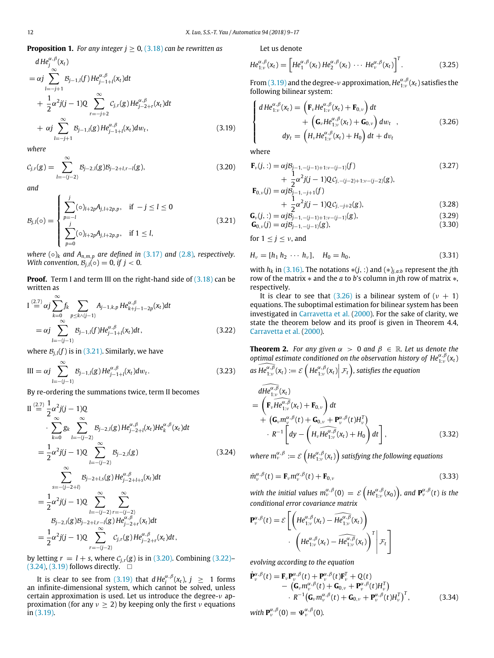## **Proposition 1.** *For any integer j* ≥ 0*,* [\(3.18\)](#page-2-5) *can be rewritten as*

<span id="page-3-6"></span>
$$
d He^{a, \beta}_{j}(x_{t})
$$
\n
$$
= \alpha j \sum_{l=-j+1}^{\infty} B_{j-1,l}(f) He^{\alpha, \beta}_{j-1+l}(x_{t}) dt
$$
\n
$$
+ \frac{1}{2} \alpha^{2} j(j-1) Q \sum_{r=-j+2}^{\infty} C_{j,r}(g) He^{\alpha, \beta}_{j-2+r}(x_{t}) dt
$$
\n
$$
+ \alpha j \sum_{l=-j+1}^{\infty} B_{j-1,l}(g) He^{\alpha, \beta}_{j-1+l}(x_{t}) dw_{t}, \qquad (3.19)
$$

*where*

<span id="page-3-3"></span>
$$
C_{j,r}(g) = \sum_{l=-(j-2)}^{\infty} B_{j-2,l}(g) B_{j-2+l,r-l}(g),
$$
\n(3.20)

*and*

<span id="page-3-2"></span>
$$
\mathcal{B}_{j,l}(0) = \begin{cases} \sum_{p=-l}^{j} (0)_{l+2p} A_{j,l+2p,p}, & \text{if } -j \leq l \leq 0\\ \sum_{p=0}^{j} (0)_{l+2p} A_{j,l+2p,p}, & \text{if } 1 \leq l, \end{cases}
$$
(3.21)

*where*  $(o)_k$  *and*  $A_{n,m,p}$  *are defined in* [\(3.17\)](#page-2-6) *and* [\(2.8\)](#page-1-5)*, respectively. With convention,*  $B_{i,l}(\circ) = 0$ *, if*  $j < 0$ *.* 

**Proof.** Term I and term III on the right-hand side of [\(3.18\)](#page-2-5) can be written as

$$
I \stackrel{(2.7)}{=} \alpha j \sum_{k=0}^{\infty} f_k \sum_{p \le k \land (j-1)} A_{j-1,k,p} H e_{k+j-1-2p}^{\alpha,\beta}(x_t) dt
$$
  
=  $\alpha j \sum_{l=-(j-1)}^{\infty} B_{j-1,l}(f) H e_{j-1+l}^{\alpha,\beta}(x_t) dt,$  (3.22)

<span id="page-3-4"></span>where  $\mathcal{B}_{i,l}(f)$  is in [\(3.21\).](#page-3-2) Similarly, we have

III = 
$$
\alpha j \sum_{l=-(j-1)}^{\infty} B_{j-1,l}(g) H e_{j-1+l}^{\alpha,\beta}(x_t) dw_t.
$$
 (3.23)

By re-ordering the summations twice, term II becomes

<span id="page-3-5"></span>
$$
\begin{split}\n\text{II} & \stackrel{(2.7)}{=} \frac{1}{2} \alpha^2 j(j-1)Q \\
&\cdot \sum_{k=0}^{\infty} g_k \sum_{l=-(j-2)}^{\infty} B_{j-2,l}(g) H e_{j-2+l}^{\alpha,\beta}(x_l) H e_k^{\alpha,\beta}(x_t) dt \\
&= \frac{1}{2} \alpha^2 j(j-1)Q \sum_{l=-(j-2)}^{\infty} B_{j-2,l}(g) \\
&\cdot \sum_{s=-(j-2+l)}^{\infty} B_{j-2+l,s}(g) H e_{j-2+l+s}^{\alpha,\beta}(x_t) dt \\
&= \frac{1}{2} \alpha^2 j(j-1)Q \sum_{l=-(j-2)}^{\infty} \sum_{r=-(j-2)}^{\infty} B_{j-2,l}(g) B_{j-2+l,r-l}(g) H e_{j-2+r}^{\alpha,\beta}(x_t) dt \\
&= \frac{1}{2} \alpha^2 j(j-1)Q \sum_{r=-(j-2)}^{\infty} C_{j,r}(g) H e_{j-2+r}^{\alpha,\beta}(x_t) dt,\n\end{split} \tag{3.24}
$$

by letting  $r = l + s$ , where  $C_{j,r}(g)$  is in [\(3.20\).](#page-3-3) Combining [\(3.22\)–](#page-3-4)  $(3.24)$ ,  $(3.19)$  follows directly.  $\square$ 

It is clear to see from [\(3.19\)](#page-3-6) that  $dHe_i^{\alpha,\beta}(x_t)$ ,  $j \geq 1$  forms an infinite-dimensional system, which cannot be solved, unless certain approximation is used. Let us introduce the degree-ν approximation (for any  $v \ge 2$ ) by keeping only the first  $v$  equations in [\(3.19\).](#page-3-6)

Let us denote

<span id="page-3-12"></span>
$$
He_{1:v}^{\alpha,\beta}(x_t) = \left[He_1^{\alpha,\beta}(x_t)He_2^{\alpha,\beta}(x_t)\cdots He_v^{\alpha,\beta}(x_t)\right]^T.
$$
 (3.25)

From [\(3.19\)](#page-3-6) and the degree- $\nu$  approximation,  $He_{1:\nu}^{\alpha,\beta}(x_t)$  satisfies the following bilinear system:

<span id="page-3-7"></span>
$$
\begin{cases}\ndHe_{1:\nu}^{\alpha,\beta}(x_t) = \left(\mathbf{F}_{\nu}He_{1:\nu}^{\alpha,\beta}(x_t) + \mathbf{F}_{0,\nu}\right)dt \\
+ \left(\mathbf{G}_{\nu}He_{1:\nu}^{\alpha,\beta}(x_t) + \mathbf{G}_{0,\nu}\right)dw_t \n\end{cases} ,\n\tag{3.26}
$$
\n
$$
dy_t = \left(H_{\nu}He_{1:\nu}^{\alpha,\beta}(x_t) + H_0\right)dt + dv_t
$$

where

<span id="page-3-0"></span>
$$
\mathbf{F}_{\nu}(j,:) = \alpha j B_{j-1, -(j-1)+1:\nu - (j-1)}(f) \tag{3.27}
$$

+ 
$$
\frac{1}{2}\alpha^2 j(j-1)Q_{j,-(j-2)+1:\nu-(j-2)}(g)
$$
,  
\n
$$
\mathbf{F}_{0,\nu}(j) = \alpha j \mathcal{B}_{j-1,-j+1}(f) + \frac{1}{2}\alpha^2 j(j-1)Q_{j,-j+2}(g),
$$
\n(3.28)

$$
\mathbf{G}_{\nu}(j,:)=\alpha j\beta_{j-1,-(j-1)+1:\nu-(j-1)}(g),\tag{3.29}
$$

<span id="page-3-1"></span>
$$
\mathbf{G}_{0,\nu}(j) = \alpha j \mathcal{B}_{j-1,-(j-1)}(g),\tag{3.30}
$$

for  $1 \leq j \leq \nu$ , and

<span id="page-3-11"></span>
$$
H_{\nu} = [h_1 \, h_2 \, \cdots \, h_{\nu}], \quad H_0 = h_0,\tag{3.31}
$$

with  $h_k$  in [\(3.16\).](#page-2-7) The notations  $*(j, :)$  and  $(*)_{j,a:b}$  represent the *j*th row of the matrix ∗ and the *a* to *b*'s column in *j*th row of matrix ∗, respectively.

It is clear to see that [\(3.26\)](#page-3-7) is a bilinear system of  $(\nu + 1)$ equations. The suboptimal estimation for bilinear system has been investigated in [Carravetta](#page-8-20) [et](#page-8-20) [al.](#page-8-20) [\(2000\)](#page-8-20). For the sake of clarity, we state the theorem below and its proof is given in Theorem 4.4, [Carravetta](#page-8-20) [et](#page-8-20) [al.](#page-8-20) [\(2000\)](#page-8-20).

**Theorem 2.** *For any given*  $\alpha > 0$  *and*  $\beta \in \mathbb{R}$ *. Let us denote the optimal estimate conditioned on the observation history of*  $He_{1v}^{\alpha,\beta}(x_t)$  $\widehat{\text{dS} H e_{1:v}^{\alpha,\beta}}(x_t) := \mathcal{E}\left(H e_{1:v}^{\alpha,\beta}(x_t) \middle| \mathcal{F}_t\right)$ , satisfies the equation

<span id="page-3-8"></span>
$$
\widehat{dHe_{1:\nu}^{\alpha,\beta}}(x_t) = \left(\mathbf{F}_{\nu} \widehat{He_{1:\nu}^{\alpha,\beta}}(x_t) + \mathbf{F}_{0,\nu}\right) dt + \left(\mathbf{G}_{\nu} m_{\nu}^{\alpha,\beta}(t) + \mathbf{G}_{0,\nu} + \mathbf{P}_{\nu}^{\alpha,\beta}(t) H_{\nu}^T\right) + R^{-1} \left[ dy - \left(H_{\nu} \widehat{He_{1:\nu}^{\alpha,\beta}}(x_t) + H_0\right) dt\right],
$$
\n(3.32)

where  $m_v^{\alpha,\beta} := \mathcal{E}\left(He_{1:v}^{\alpha,\beta}(x_t)\right)$  satisfying the following equations

<span id="page-3-10"></span>
$$
\dot{m}_{\nu}^{\alpha,\beta}(t) = \mathbf{F}_{\nu} m_{\nu}^{\alpha,\beta}(t) + \mathbf{F}_{0,\nu}
$$
\n(3.33)

with the initial values  $m_{\nu}^{\alpha,\beta}(0) = \varepsilon \left( H e_{1:\nu}^{\alpha,\beta}(x_0) \right)$ , and  ${\bf P}_{\nu}^{\alpha,\beta}(t)$  is the *conditional error covariance matrix*

$$
\mathbf{P}_{\nu}^{\alpha,\beta}(t) = \mathcal{E}\left[\left(He_{1:\nu}^{\alpha,\beta}(x_t) - \widehat{He_{1:\nu}^{\alpha,\beta}}(x_t)\right) + \left(He_{1:\nu}^{\alpha,\beta}(x_t) - \widehat{He_{1:\nu}^{\alpha,\beta}}(x_t)\right)^T\middle|\mathcal{F}_t\right]
$$

*evolving according to the equation*

<span id="page-3-9"></span>
$$
\dot{\mathbf{P}}_{\nu}^{\alpha,\beta}(t) = \mathbf{F}_{\nu} \mathbf{P}_{\nu}^{\alpha,\beta}(t) + \mathbf{P}_{\nu}^{\alpha,\beta}(t) \mathbf{F}_{\nu}^{T} + Q(t) \n- (\mathbf{G}_{\nu} m_{\nu}^{\alpha,\beta}(t) + \mathbf{G}_{0,\nu} + \mathbf{P}_{\nu}^{\alpha,\beta}(t) H_{\nu}^{T}) \n\cdot R^{-1} (\mathbf{G}_{\nu} m_{\nu}^{\alpha,\beta}(t) + \mathbf{G}_{0,\nu} + \mathbf{P}_{\nu}^{\alpha,\beta}(t) H_{\nu}^{T})^{T},
$$
\n(3.34)

*with*  $\mathbf{P}_{\nu}^{\alpha,\beta}(0) = \mathbf{\Psi}_{\nu}^{\alpha,\beta}(0)$ *.*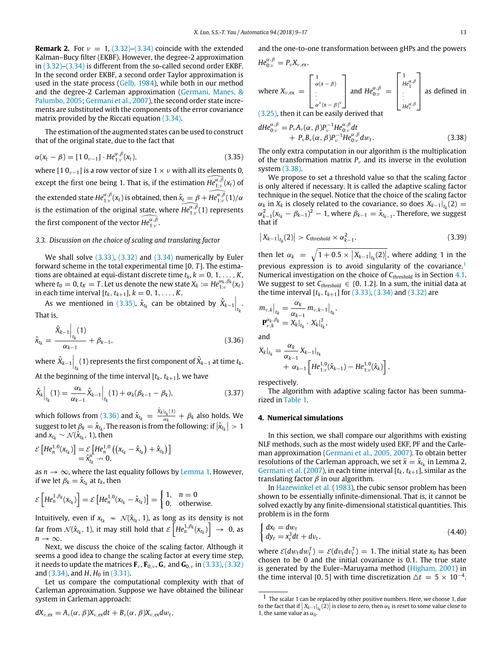**Remark 2.** For  $v = 1$ , [\(3.32\)](#page-3-8)[–\(3.34\)](#page-3-9) coincide with the extended Kalman–Bucy filter (EKBF). However, the degree-2 approximation in [\(3.32\)–](#page-3-8)[\(3.34\)](#page-3-9) is different from the so-called second order EKBF. In the second order EKBF, a second order Taylor approximation is used in the state process [\(Gelb,](#page-8-15) [1984\)](#page-8-15), while both in our method and the degree-2 Carleman approximation [\(Germani,](#page-8-27) [Manes,](#page-8-27) [&](#page-8-27) [Palumbo,](#page-8-27) [2005;](#page-8-27) [Germani](#page-8-19) [et](#page-8-19) [al.,](#page-8-19) [2007\)](#page-8-19), the second order state increments are substituted with the components of the error covariance matrix provided by the Riccati equation [\(3.34\).](#page-3-9)

The estimation of the augmented states can be used to construct that of the original state, due to the fact that

<span id="page-4-1"></span>
$$
\alpha(x_t - \beta) = [1 \ 0_{\nu-1}] \cdot He_{1:\nu}^{\alpha,\beta}(x_t), \tag{3.35}
$$

where [1  $0_{\nu-1}$ ] is a row vector of size  $1 \times \nu$  with all its elements 0, except the first one being 1. That is, if the estimation  $\widehat{He_{1;v}^{\alpha,\beta}}(x_t)$  of the extended state  $He^{\alpha,\beta}_{1:\nu}(x_t)$  is obtained, then  $\hat{x}_t = \beta + \widehat{He^{\alpha,\beta}_{1:\nu}}(1)/\alpha$ is the estimation of the original state, where  $\widehat{He_{1:v}^{\alpha,\beta}}(1)$  represents the first component of the vector  $\widehat{He^{\alpha,\beta}_{1:v}}$ .

#### <span id="page-4-7"></span>*3.3. Discussion on the choice of scaling and translating factor*

We shall solve [\(3.33\),](#page-3-10) [\(3.32\)](#page-3-8) and [\(3.34\)](#page-3-9) numerically by Euler forward scheme in the total experimental time [0, *T* ]. The estimations are obtained at equi-distant discrete time  $t_k$ ,  $k = 0, 1, \ldots, K$ , where  $t_0 = 0$ ,  $t_K = T$ . Let us denote the new state  $X_k := He_{1:v}^{\alpha_k, \beta_k}(x_t)$ in each time interval  $[t_k, t_{k+1}], k = 0, 1, ..., K$ .

As we mentioned in [\(3.35\),](#page-4-1)  $\hat{x}_{t_k}$  can be obtained by  $\hat{X}_{k-1}\Big|_{t_k}$ . That is,

<span id="page-4-2"></span>
$$
\hat{x}_{t_k} = \frac{\hat{X}_{k-1} \Big|_{t_k}(1)}{\alpha_{k-1}} + \beta_{k-1},
$$
\n(3.36)

where  $\hat{X}_{k-1}\Big|_{t_{k}}$  (1) represents the first component of  $\hat{X}_{k-1}$  at time  $t_{k}.$ 

At the beginning of the time interval  $[t_k, t_{k+1}]$ , we have

$$
\hat{X}_{k}\Big|_{t_{k}}(1) = \frac{\alpha_{k}}{\alpha_{k-1}}\hat{X}_{k-1}\Big|_{t_{k}}(1) + \alpha_{k}(\beta_{k-1} - \beta_{k}),
$$
\n(3.37)

which follows from [\(3.36\)](#page-4-2) and  $\hat{x}_{t_k} = \frac{\hat{x}_{k|t_k}(1)}{\alpha_k}$  $\frac{a_k^{(k+1)}}{\alpha_k} + \beta_k$  also holds. We suggest to let  $\beta_k = \hat{x}_{t_k}$ . The reason is from the following: if  $|\hat{x}_{t_k}| > 1$ and  $x_{t_k} \sim \mathcal{N}(\hat{x}_{t_k}, 1)$ , then

$$
\mathcal{E}\left[He_n^{1,0}(x_{t_k})\right] = \mathcal{E}\left[He_n^{1,0}\left((x_{t_k}-\hat{x}_{t_k})+\hat{x}_{t_k}\right)\right] \\ = \hat{x}_{t_k}^n \to 0,
$$

as  $n \to \infty$ , where the last equality follows by [Lemma 1.](#page-1-6) However, if we let  $\beta_k = \hat{x}_{t_k}$  at  $t_k$ , then

$$
\mathcal{E}\left[He_n^{1,\beta_k}(x_{t_k})\right] = \mathcal{E}\left[He_n^{1,0}(x_{t_k} - \hat{x}_{t_k})\right] = \begin{cases} 1, & n = 0 \\ 0, & \text{otherwise.} \end{cases}
$$

Intuitively, even if  $x_{t_k} \sim \mathcal{N}(\hat{x}_{t_k}, 1)$ , as long as its density is not far from  $\mathcal{N}(\hat{x}_{t_k}, 1)$ , it may still hold that  $\mathcal{E}\left[He_{n}^{1,\beta_k}(x_{t_k})\right] \ \rightarrow \ 0$ , as  $n \rightarrow \infty$ .

Next, we discuss the choice of the scaling factor. Although it seems a good idea to change the scaling factor at every time step, it needs to update the matrices  $\mathbf{F}_v$ ,  $\mathbf{F}_{0,v}$ ,  $\mathbf{G}_v$  and  $\mathbf{G}_{0,v}$  in [\(3.33\),](#page-3-10) [\(3.32\)](#page-3-8) and [\(3.34\),](#page-3-9) and *H*, *H*<sub>0</sub> in [\(3.31\).](#page-3-11)

Let us compare the computational complexity with that of Carleman approximation. Suppose we have obtained the bilinear system in Carleman approach:

$$
dX_{\nu,ex}=A_{\nu}(\alpha,\beta)X_{\nu,ex}dt+B_{\nu}(\alpha,\beta)X_{\nu,ex}dw_t,
$$

and the one-to-one transformation between gHPs and the powers  $He_{0:\nu}^{\alpha,\beta} = P_{\nu}X_{\nu,ex}$ ,

where 
$$
X_{v,ex} = \begin{bmatrix} 1 \\ \alpha(x - \beta) \\ \vdots \\ \alpha^v(x - \beta)^v \end{bmatrix}
$$
 and  $He_{0:v}^{\alpha,\beta} = \begin{bmatrix} 1 \\ He_1^{\alpha,\beta} \\ \vdots \\ He_v^{\alpha,\beta} \end{bmatrix}$  as defined in  
(3.25), then it can be easily derived that

then it can be easily

<span id="page-4-3"></span>
$$
dHe_{0:v}^{\alpha,\beta} = P_v A_v(\alpha, \beta) P_v^{-1} He_{0:v}^{\alpha,\beta} dt + P_v B_v(\alpha, \beta) P_v^{-1} He_{0:v}^{\alpha,\beta} dw_t.
$$
 (3.38)

The only extra computation in our algorithm is the multiplication of the transformation matrix  $P_\nu$  and its inverse in the evolution system [\(3.38\).](#page-4-3)

We propose to set a threshold value so that the scaling factor is only altered if necessary. It is called the adaptive scaling factor technique in the sequel. Notice that the choice of the scaling factor  $\alpha_k$  in  $X_k$  is closely related to the covariance, so does  $X_{k-1}|_{t_k}(2) =$  $\alpha_{k-1}^2 (x_{t_k} - \beta_{k-1})^2 - 1$ , where  $\beta_{k-1} = \hat{x}_{t_{k-1}}$ . Therefore, we suggest that if

<span id="page-4-5"></span>
$$
\left|X_{k-1}\right|_{t_k}(2)\right| > C_{threshold} \times \alpha_{k-1}^2,\tag{3.39}
$$

then let  $\alpha_k = \sqrt{1 + 0.5 \times |X_{k-1}|_{t_k}(2)}$ , where adding 1 in the previous expression is to avoid singularity of the covariance.<sup>[1](#page-4-4)</sup> Numerical investigation on the choice of *Cthreshold* is in Section [4.1.](#page-5-0) We suggest to set  $C_{threshold} \in (0, 1.2]$ . In a sum, the initial data at the time interval  $[t_k, t_{k+1}]$  for [\(3.33\),](#page-3-10) [\(3.34\)](#page-3-9) and [\(3.32\)](#page-3-8) are

$$
m_{v,k}\Big|_{t_k} = \frac{\alpha_k}{\alpha_{k-1}} m_{v,k-1}\Big|_{t_k},
$$
  

$$
\mathbf{P}_{v,k}^{\alpha_k,\beta_k} = X_k\Big|_{t_k} \cdot X_k\Big|_{t_k}^T,
$$

and

$$
X_k|_{t_k} = \frac{\alpha_k}{\alpha_{k-1}} X_{k-1}|_{t_k}
$$
  
+  $\alpha_{k-1} \left[ H e_{1;\nu}^{1,0}(\hat{x}_{k-1}) - H e_{1;\nu}^{1,0}(\hat{x}_k) \right],$ 

respectively.

The algorithm with adaptive scaling factor has been summarized in [Table 1.](#page-5-1)

#### <span id="page-4-0"></span>**4. Numerical simulations**

In this section, we shall compare our algorithms with existing NLF methods, such as the most widely used EKF, PF and the Carleman approximation [\(Germani](#page-8-27) [et](#page-8-27) [al.,](#page-8-27) [2005,](#page-8-27) [2007\)](#page-8-27). To obtain better resolutions of the Carleman approach, we set  $\bar{x} = \hat{x}_{t_k}$  in Lemma 2, [Germani](#page-8-19) [et](#page-8-19) [al.](#page-8-19) [\(2007\)](#page-8-19), in each time interval [*tk*, *tk*+1], similar as the translating factor  $\beta$  in our algorithm.

In [Hazewinkel](#page-8-4) [et](#page-8-4) [al.](#page-8-4) [\(1983\)](#page-8-4), the cubic sensor problem has been shown to be essentially infinite-dimensional. That is, it cannot be solved exactly by any finite-dimensional statistical quantities. This problem is in the form

<span id="page-4-6"></span>
$$
\begin{cases} dx_t = dw_t \\ dy_t = x_t^3 dt + dv_t, \end{cases}
$$
\n(4.40)

where  $\mathcal{E}(dw_t dw_t^T) = \mathcal{E}(dv_t dv_t^T) = 1$ . The initial state  $x_0$  has been chosen to be 0 and the initial covariance is 0.1. The true state is generated by the Euler–Maruyama method [\(Higham,](#page-8-28) [2001\)](#page-8-28) in the time interval [0, 5] with time discretization  $\Delta t = 5 \times 10^{-4}$ .

<span id="page-4-4"></span><sup>&</sup>lt;sup>1</sup> The scalar 1 can be replaced by other positive numbers. Here, we choose 1, due to the fact that if  $|X_{k-1}|_{t_k}(2)$  is close to zero, then  $\alpha_k$  is reset to some value close to 1, the same value as  $\alpha_0$ .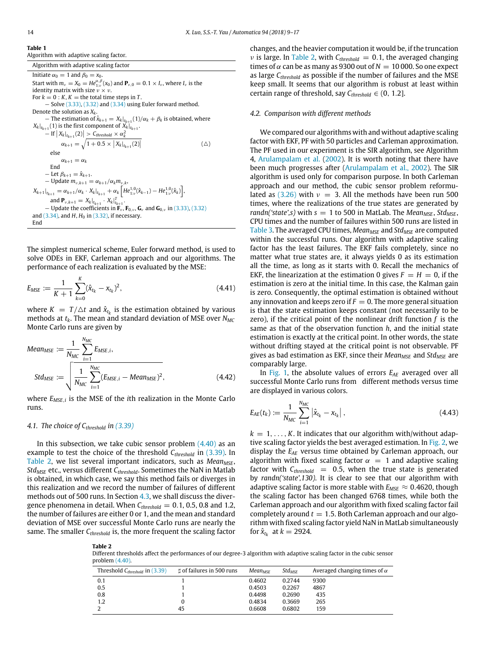<span id="page-5-1"></span>**Table 1** Algorithm with adaptive scaling factor.

Algorithm with adaptive scaling factor Initiate  $\alpha_0 = 1$  and  $\beta_0 = x_0$ . Start with  $m_{\nu} = X_0 = He_{1:\nu}^{\alpha,\beta}(x_0)$  and  $\mathbf{P}_{\nu,0} = 0.1 \times I_{\nu}$ , where  $I_{\nu}$  is the identity matrix with size  $v \times v$ . For  $k = 0 : K$ ,  $K =$  the total time steps in  $T$ . − Solve [\(3.33\),](#page-3-10) [\(3.32\)](#page-3-8) and [\(3.34\)](#page-3-9) using Euler forward method. Denote the solution as *Xk*.  $-$  The estimation of  $\hat{x}_{k+1} = X_k|_{t_{k+1}}(1)/\alpha_k + \beta_k$  is obtained, where  $X_k|_{t_{k+1}}(1)$  is the first component of  $X_k|_{t_{k+1}}$ .  $-$  If  $|X_k|_{t_{k+1}}(2)| > C$ *threshold*  $\times \alpha_k^2$  $\alpha_{k+1} = \sqrt{1 + 0.5 \times \left| X_k \right|_{t_{k+1}} (2)}$ (△) else  $\alpha_{k+1} = \alpha_k$ End  $-$  Let  $\beta_{k+1} = \hat{x}_{k+1}$ .  $-$  Update  $m_{\nu,k+1} = \alpha_{k+1}/\alpha_k m_{\nu,k}$ ,  $X_{k+1}|_{t_{k+1}} = \alpha_{k+1}/\alpha_k \cdot X_k|_{t_{k+1}} + \alpha_k \left[ He_{1:v}^{1,0}(\hat{x}_{k-1}) - He_{1:v}^{1,0}(\hat{x}_k) \right],$ and  $\mathbf{P}_{\nu,k+1} = X_k|_{t_{k+1}} \cdot X_k|_{t_{k+1}}^T$ .  $-$  Update the coefficients in  $\mathbf{F}_v$ ,  $\mathbf{F}_{0,v}$ ,  $\mathbf{G}_v$  and  $\mathbf{G}_{0,v}$  in [\(3.33\),](#page-3-10) [\(3.32\)](#page-3-8) and [\(3.34\),](#page-3-9) and *H*, *H*<sub>0</sub> in [\(3.32\),](#page-3-8) if necessary. End

The simplest numerical scheme, Euler forward method, is used to solve ODEs in EKF, Carleman approach and our algorithms. The performance of each realization is evaluated by the MSE:

$$
E_{MSE} := \frac{1}{K+1} \sum_{k=0}^{K} (\hat{x}_{t_k} - x_{t_k})^2, \qquad (4.41)
$$

where  $K = T/\Delta t$  and  $\hat{x}_{t_k}$  is the estimation obtained by various methods at *tk*. The mean and standard deviation of MSE over *NMC* Monte Carlo runs are given by

Mean<sub>MSE</sub> := 
$$
\frac{1}{N_{MC}} \sum_{i=1}^{N_{MC}} E_{MSE,i},
$$
  
\nStd<sub>MSE</sub> := 
$$
\sqrt{\frac{1}{N_{MC}} \sum_{i=1}^{N_{MC}} (E_{MSE,i} - Mean_{MSE})^2},
$$
\n(4.42)

where *EMSE*,*<sup>i</sup>* is the MSE of the *i*th realization in the Monte Carlo runs.

#### <span id="page-5-0"></span>*4.1. The choice of Cthreshold in [\(3.39\)](#page-4-5)*

In this subsection, we take cubic sensor problem  $(4.40)$  as an example to test the choice of the threshold *Cthreshold* in [\(3.39\).](#page-4-5) In [Table 2,](#page-5-2) we list several important indicators, such as *Mean<sub>MSE</sub>*, *StdMSE* etc., versus different *Cthreshold*. Sometimes the NaN in Matlab is obtained, in which case, we say this method fails or diverges in this realization and we record the number of failures of different methods out of 500 runs. In Section [4.3,](#page-5-3) we shall discuss the divergence phenomena in detail. When *Cthreshold* = 0.1, 0.5, 0.8 and 1.2, the number of failures are either 0 or 1, and the mean and standard deviation of MSE over successful Monte Carlo runs are nearly the same. The smaller *Cthreshold* is, the more frequent the scaling factor

<span id="page-5-2"></span>**Table 2**

changes, and the heavier computation it would be, if the truncation  $\nu$  is large. In [Table 2,](#page-5-2) with  $C_{threshold} = 0.1$ , the averaged changing times of  $\alpha$  can be as many as 9300 out of  $N = 10000$ . So one expect as large *Cthreshold* as possible if the number of failures and the MSE keep small. It seems that our algorithm is robust at least within certain range of threshold, say  $C_{threshold} \in (0, 1.2]$ .

#### *4.2. Comparison with different methods*

We compared our algorithms with and without adaptive scaling factor with EKF, PF with 50 particles and Carleman approximation. The PF used in our experiment is the SIR algorithm, see Algorithm 4, [Arulampalam](#page-7-0) [et](#page-7-0) [al.](#page-7-0) [\(2002\)](#page-7-0). It is worth noting that there have been much progresses after [\(Arulampalam](#page-7-0) [et](#page-7-0) [al.,](#page-7-0) [2002\)](#page-7-0). The SIR algorithm is used only for comparison purpose. In both Carleman approach and our method, the cubic sensor problem reformu-lated as [\(3.26\)](#page-3-7) with  $v = 3$ . All the methods have been run 500 times, where the realizations of the true states are generated by *randn('state',s)* with  $s = 1$  to 500 in MatLab. The *Mean<sub>MSE</sub>*, *Std<sub>MSF</sub>*, CPU times and the number of failures within 500 runs are listed in [Table 3.](#page-6-0) The averaged CPU times, *MeanMSE* and *StdMSE* are computed within the successful runs. Our algorithm with adaptive scaling factor has the least failures. The EKF fails completely, since no matter what true states are, it always yields 0 as its estimation all the time, as long as it starts with 0. Recall the mechanics of EKF, the linearization at the estimation 0 gives  $F = H = 0$ , if the estimation is zero at the initial time. In this case, the Kalman gain is zero. Consequently, the optimal estimation is obtained without any innovation and keeps zero if  $F = 0$ . The more general situation is that the state estimation keeps constant (not necessarily to be zero), if the critical point of the nonlinear drift function *f* is the same as that of the observation function *h*, and the initial state estimation is exactly at the critical point. In other words, the state without drifting stayed at the critical point is not observable. PF gives as bad estimation as EKF, since their *MeanMSE* and *StdMSE* are comparably large.

In [Fig. 1,](#page-6-1) the absolute values of errors *EAE* averaged over all successful Monte Carlo runs from different methods versus time are displayed in various colors.

$$
E_{AE}(t_k) := \frac{1}{N_{MC}} \sum_{i=1}^{N_{MC}} |\hat{x}_{t_k} - x_{t_k}|,
$$
\n(4.43)

<span id="page-5-3"></span> $k = 1, \ldots, K$ . It indicates that our algorithm with/without adap-tive scaling factor yields the best averaged estimation. In [Fig. 2,](#page-6-2) we display the *EAE* versus time obtained by Carleman approach, our algorithm with fixed scaling factor  $\alpha = 1$  and adaptive scaling factor with  $C_{threshold}$  = 0.5, when the true state is generated by *randn('state',130)*. It is clear to see that our algorithm with adaptive scaling factor is more stable with  $E_{MSE} \approx 0.4620$ , though the scaling factor has been changed 6768 times, while both the Carleman approach and our algorithm with fixed scaling factor fail completely around  $t = 1.5$ . Both Carleman approach and our algorithm with fixed scaling factor yield NaN in MatLab simultaneously for  $\hat{x}_{t_k}$  at  $k = 2924$ .

Different thresholds affect the performances of our degree-3 algorithm with adaptive scaling factor in the cubic sensor problem [\(4.40\).](#page-4-6)

| Threshold $C_{threshold}$ in $(3.39)$ | t of failures in 500 runs | $Mean_{MSE}$ | $Std_{MSE}$ | Averaged changing times of $\alpha$ |
|---------------------------------------|---------------------------|--------------|-------------|-------------------------------------|
| 0.1                                   |                           | 0.4602       | 0.2744      | 9300                                |
| 0.5                                   |                           | 0.4503       | 0.2267      | 4867                                |
| 0.8                                   |                           | 0.4498       | 0.2690      | 435                                 |
| 1.2                                   | 0                         | 0.4834       | 0.3669      | 265                                 |
|                                       | 45                        | 0.6608       | 0.6802      | 159                                 |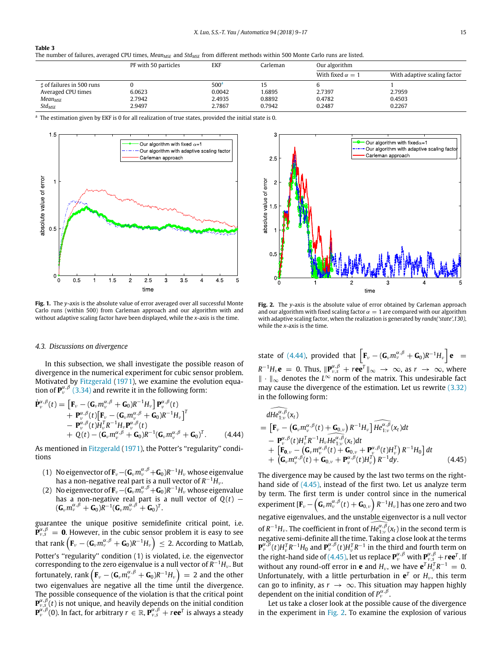#### <span id="page-6-0"></span>**Table 3**

The number of failures, averaged CPU times, *MeanMSE* and *StdMSE* from different methods within 500 Monte Carlo runs are listed.

|                           | PF with 50 particles | EKF              | Carleman | Our algorithm           |                              |
|---------------------------|----------------------|------------------|----------|-------------------------|------------------------------|
|                           |                      |                  |          | With fixed $\alpha = 1$ | With adaptive scaling factor |
| t of failures in 500 runs |                      | 500 <sup>a</sup> |          |                         |                              |
| Averaged CPU times        | 6.0623               | 0.0042           | 1.6895   | 2.7397                  | 2.7959                       |
| Mean <sub>MSE</sub>       | 2.7942               | 2.4935           | 0.8892   | 0.4782                  | 0.4503                       |
| $Std_{MSE}$               | 2.9497               | 2.7867           | 0.7942   | 0.2487                  | 0.2267                       |

<span id="page-6-3"></span>a The estimation given by EKF is 0 for all realization of true states, provided the initial state is 0.

<span id="page-6-1"></span>

**Fig. 1.** The *y*-axis is the absolute value of error averaged over all successful Monte Carlo runs (within 500) from Carleman approach and our algorithm with and without adaptive scaling factor have been displayed, while the *x*-axis is the time.

#### *4.3. Discussions on divergence*

In this subsection, we shall investigate the possible reason of divergence in the numerical experiment for cubic sensor problem. Motivated by [Fitzgerald](#page-8-29) [\(1971\)](#page-8-29), we examine the evolution equation of  $\mathbf{P}_{\nu}^{\alpha,\beta}$  [\(3.34\)](#page-3-9) and rewrite it in the following form:

<span id="page-6-4"></span>
$$
\dot{\mathbf{P}}_{\nu}^{\alpha,\beta}(t) = \left[\mathbf{F}_{\nu} - (\mathbf{G}_{\nu}m_{\nu}^{\alpha,\beta} + \mathbf{G}_{0})R^{-1}H_{\nu}\right]\mathbf{P}_{\nu}^{\alpha,\beta}(t) \n+ \mathbf{P}_{\nu}^{\alpha,\beta}(t)\left[\mathbf{F}_{\nu} - (\mathbf{G}_{\nu}m_{\nu}^{\alpha,\beta} + \mathbf{G}_{0})R^{-1}H_{\nu}\right]^{T} \n- \mathbf{P}_{\nu}^{\alpha,\beta}(t)H_{\nu}^{T}R^{-1}H_{\nu}\mathbf{P}_{\nu}^{\alpha,\beta}(t) \n+ Q(t) - (\mathbf{G}_{\nu}m_{\nu}^{\alpha,\beta} + \mathbf{G}_{0})R^{-1}(\mathbf{G}_{\nu}m_{\nu}^{\alpha,\beta} + \mathbf{G}_{0})^{T}.
$$
\n(4.44)

As mentioned in [Fitzgerald](#page-8-29) [\(1971\)](#page-8-29), the Potter's "regularity" conditions

- (1) No eigenvector of  $\mathbf{F}_{\nu} (\mathbf{G}_{\nu} m^{\alpha, \beta}_{\nu} + \mathbf{G}_0) R^{-1} H_{\nu}$  whose eigenvalue has a non-negative real part is a null vector of  $R^{-1}\bar{H}_\nu$ .
- (2) No eigenvector of  $\mathbf{F}_{\nu} (\mathbf{G}_{\nu} m_{\nu}^{\alpha,\beta} + \mathbf{G}_{0})R^{-1}H_{\nu}$  whose eigenvalue has a non-negative real part is a null vector of  $Q(t)$  –  $(\mathbf{G}_{\nu}m_{\nu}^{\alpha,\beta}+\mathbf{G}_{0})R^{-1}(\mathbf{G}_{\nu}m_{\nu}^{\alpha,\beta}+\mathbf{G}_{0})^{T}.$

guarantee the unique positive semidefinite critical point, i.e.  $\mathbf{P}^{\alpha,\beta}_{\nu,\delta} = \mathbf{0}$ . However, in the cubic sensor problem it is easy to see that rank  $\left(\mathbf{F}_{\nu}-(\mathbf{G}_{\nu}m_{\nu}^{\alpha,\beta}+\mathbf{G}_{0})R^{-1}H_{\nu}\right)\,\leq\,2.$  According to MatLab, Potter's "regularity" condition (1) is violated, i.e. the eigenvector corresponding to the zero eigenvalue is a null vector of *R* <sup>−</sup><sup>1</sup>*H*<sup>ν</sup> . But fortunately,  $\text{rank}\left(\mathbf{F}_{\nu}-(\mathbf{G}_{\nu}\boldsymbol{m}_{\nu}^{\alpha,\beta}+\mathbf{G}_{0})R^{-1}H_{\nu}\right) = 2$  and the other two eigenvalues are negative all the time until the divergence. The possible consequence of the violation is that the critical point  ${\bf P}^{\alpha,\beta}_{\nu,s} (t)$  is not unique, and heavily depends on the initial condition  $\mathbf{P}^{\alpha,\beta}_{\nu}(0)$ . In fact, for arbitrary  $r\in\mathbb{R}$ ,  $\mathbf{P}^{\alpha,\beta}_{\nu,s}+r$ ee $^T$  is always a steady

<span id="page-6-2"></span>

**Fig. 2.** The *y*-axis is the absolute value of error obtained by Carleman approach and our algorithm with fixed scaling factor  $\alpha = 1$  are compared with our algorithm with adaptive scaling factor, when the realization is generated by *randn('state',130)*, while the *x*-axis is the time.

state of [\(4.44\),](#page-6-4) provided that  $\left[ \mathbf{F}_{\nu} - (\mathbf{G}_{\nu} m_{\nu}^{\alpha,\beta} + \mathbf{G}_{0}) R^{-1} H_{\nu} \right] \mathbf{e} =$  $R^{-1}H_\nu$ **e** = 0. Thus,  $\|\mathbf{P}_{\nu,s}^{\alpha,\beta} + r\mathbf{e}\mathbf{e}^T\|_{\infty} \to \infty$ , as  $r \to \infty$ , where ∥ · ∥<sup>∞</sup> denotes the *L* <sup>∞</sup> norm of the matrix. This undesirable fact may cause the divergence of the estimation. Let us rewrite [\(3.32\)](#page-3-8) in the following form:

<span id="page-6-5"></span>
$$
\widehat{dHe_{1;\nu}^{\alpha,\beta}}(x_t) = \left[\mathbf{F}_{\nu} - (\mathbf{G}_{\nu}m_{\nu}^{\alpha,\beta}(t) + \mathbf{G}_{0,\nu})R^{-1}H_{\nu}\right]He_{1;\nu}^{\alpha,\beta}(x_t)dt \n- \mathbf{P}_{\nu}^{\alpha,\beta}(t)H_{\nu}^TR^{-1}H_{\nu}He_{1;\nu}^{\alpha,\beta}(x_t)dt \n+ \left[\mathbf{F}_{0,\nu} - (\mathbf{G}_{\nu}m_{\nu}^{\alpha,\beta}(t) + \mathbf{G}_{0,\nu} + \mathbf{P}_{\nu}^{\alpha,\beta}(t)H_{\nu}^T)R^{-1}H_0\right]dt \n+ (\mathbf{G}_{\nu}m_{\nu}^{\alpha,\beta}(t) + \mathbf{G}_{0,\nu} + \mathbf{P}_{\nu}^{\alpha,\beta}(t)H_{\nu}^T)R^{-1}dy.
$$
\n(4.45)

The divergence may be caused by the last two terms on the righthand side of [\(4.45\),](#page-6-5) instead of the first two. Let us analyze term by term. The first term is under control since in the numerical  $\exp$ experiment [ $\mathbf{F}_{\nu} - \left( \mathbf{G}_{\nu} m_{\nu}^{\alpha,\beta}(t) + \mathbf{G}_{0,\nu} \right) R^{-1} H_{\nu}$ ] has one zero and two negative eigenvalues, and the unstable eigenvector is a null vector of  $R^{-1}H_\nu$ . The coefficient in front of  $\widehat{He_{1;\nu}^{\alpha,\beta}}(x_t)$  in the second term is negative semi-definite all the time. Taking a close look at the terms  ${\bf P}_{\nu}^{\alpha,\beta}(t)H_{\nu}^TR^{-1}H_0$  and  ${\bf P}_{\nu}^{\alpha,\beta}(t)H_{\nu}^TR^{-1}$  in the third and fourth term on the right-hand side of [\(4.45\),](#page-6-5) let us replace  $P^{\alpha, \beta}_{\nu}$  with  $P^{\alpha, \beta}_{\nu, \delta} + r e e^{T}$ . If without any round-off error in **e** and  $H_\nu$ , we have  $e^T H_\nu^T R^{-1} = 0$ . Unfortunately, with a little perturbation in  $e^T$  or  $H_\nu$ , this term can go to infinity, as  $r \to \infty$ . This situation may happen highly dependent on the initial condition of  $P_{\nu}^{\alpha,\beta}$ .

Let us take a closer look at the possible cause of the divergence in the experiment in [Fig. 2.](#page-6-2) To examine the explosion of various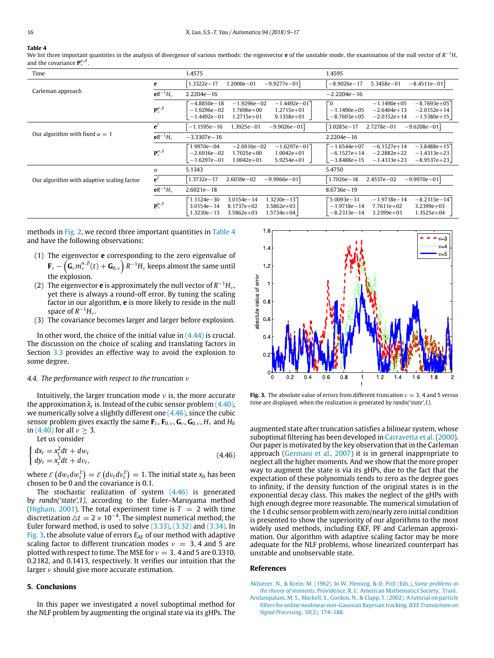#### <span id="page-7-2"></span>**Table 4**

We list three important quantities in the analysis of divergence of various methods: the eigenvector **e** of the unstable mode, the examination of the null vector of *R*<sup>−1</sup>H<sub>'</sub> and the covariance  $\mathbf{P}_{\nu}^{\alpha,\beta}$ .

| Time                                       |                                | 1.4575                                                                                                                                                               | 1.4595                                                                                                                                                         |
|--------------------------------------------|--------------------------------|----------------------------------------------------------------------------------------------------------------------------------------------------------------------|----------------------------------------------------------------------------------------------------------------------------------------------------------------|
|                                            | e                              | $1.3322e - 17$<br>$-9.9277e - 01$<br>$1.2000e - 01$                                                                                                                  | 5.3458e-01<br>$-8.9026e - 17$<br>$-8.4511e - 01$                                                                                                               |
| Carleman approach                          | $eR^{-1}H_{\nu}$               | $2.2204e - 16$                                                                                                                                                       | $-2.2204e - 16$                                                                                                                                                |
|                                            | ${\bf P}_{\nu}^{\alpha,\beta}$ | $-1.9296e - 02$<br>$-1.4492e - 017$<br>$-4.8850e - 18$<br>$-1.9296e - 02$<br>$1.7696e + 00$<br>$1.2715e + 01$<br>$-1.4492e - 01$<br>$1.2715e + 01$<br>$9.1358e + 01$ | Γ0<br>$-8.7693e + 05$<br>$-1.1490e+05$<br>$-2.0152e + 14$<br>$-1.1490e+05$<br>$-2.6404e+13$<br>$-2.0152e+14$<br>$-1.5380e+15$<br>$-8.7693e+05$                 |
| Our algorithm with fixed $\alpha = 1$      | $e^{T}$                        | $-1.1595e - 16$<br>1.3925e-01<br>$-9.9026e - 01$                                                                                                                     | $3.0285e - 17$<br>2.7278e-01<br>$-9.6208e - 01$                                                                                                                |
|                                            | $eR^{-1}H_{v}$                 | $-3.3307e - 16$                                                                                                                                                      | $2.2204e - 16$                                                                                                                                                 |
|                                            | ${\bf P}_v^{\alpha,\beta}$     | F1.9970e−04<br>$-2.6916e - 02$<br>$-1.6297e - 017$<br>$-2.6916e - 02$<br>$1.7025e+00$<br>$1.0042e + 01$<br>$-1.6297e - 01$<br>$1.0042e + 01$<br>$5.9254e + 01$       | $-6.1527e+14$<br>$-1.6544e+07$<br>$-3.8488e + 15$<br>$-2.2882e+22$<br>$-1.4313e+23$<br>$-6.1527e+14$<br>$-3.8488e+15$<br>$-1.4313e+23$<br>$-8.9537e+23$        |
|                                            | $\alpha$                       | 5.1343                                                                                                                                                               | 5.4750                                                                                                                                                         |
| Our algorithm with adaptive scaling factor | $e^{T}$                        | $1.3732e - 17$<br>$2.6039e - 02$<br>$-9.9966e - 01$                                                                                                                  | $2.4537e - 02$<br>$-9.9970e - 01$<br>$1.7026e - 18$                                                                                                            |
|                                            | $eR^{-1}H_{v}$                 | $2.6021e - 18$                                                                                                                                                       | $8.6736e - 19$                                                                                                                                                 |
|                                            | ${\bf P}_v^{\alpha,\beta}$     | 1.3230e-137<br>Г1.1124e-30<br>$3.0154e - 14$<br>$8.1737e + 02$<br>$3.0154e - 14$<br>$3.5862e + 03$<br>$1.3230e - 13$<br>$3.5862e+03$<br>1.5734e+04                   | $-8.2313e - 147$<br>F5.0093e-31<br>$-1.9718e - 14$<br>$-1.9718e - 14$<br>$7.7611e + 02$<br>$3.2399e + 03$<br>$3.2399e+03$<br>$1.3525e + 04$<br>$-8.2313e - 14$ |

methods in [Fig. 2,](#page-6-2) we record three important quantities in [Table 4](#page-7-2) and have the following observations:

- (1) The eigenvector **e** corresponding to the zero eigenvalue of  $\mathbf{F}_{\nu} - \left(\bar{\mathbf{G}}_{\nu} m_{\nu}^{\alpha,\beta}(t) + \bar{\mathbf{G}}_{0,\nu}\right) R^{-1}H_{\nu}$  keeps almost the same until the explosion.
- (2) The eigenvector  $\mathbf e$  is approximately the null vector of  $R^{-1}H_\nu$ , yet there is always a round-off error. By tuning the scaling factor in our algorithm, **e** is more likely to reside in the null space of  $R^{-1}H_{\nu}$ .
- (3) The covariance becomes larger and larger before explosion.

In other word, the choice of the initial value in  $(4.44)$  is crucial. The discussion on the choice of scaling and translating factors in Section [3.3](#page-4-7) provides an effective way to avoid the explosion to some degree.

#### *4.4. The performance with respect to the truncation* ν

Intuitively, the larger truncation mode  $\nu$  is, the more accurate the approximation  $\hat{\mathsf{x}}_t$  is. Instead of the cubic sensor problem [\(4.40\),](#page-4-6) we numerically solve a slightly different one  $(4.46)$ , since the cubic sensor problem gives exactly the same  $\mathbf{F}_{\nu}$ ,  $\mathbf{F}_{0,\nu}$ ,  $\mathbf{G}_{\nu}$ ,  $\mathbf{G}_{0,\nu}$ ,  $H_{\nu}$  and  $H_0$ in [\(4.40\)](#page-4-6) for all  $\nu > 3$ . Let us consider

<span id="page-7-3"></span>
$$
\begin{cases} dx_t = x_t^2 dt + dw_t \\ dy_t = x_t^3 dt + dv_t, \end{cases}
$$
\n(4.46)

where  $\mathcal{E}\left(dw_{t}dw_{t}^{T}\right)=\mathcal{E}\left(dv_{t}dv_{t}^{T}\right)=1.$  The initial state  $\mathsf{x}_{0}$  has been chosen to be 0 and the covariance is 0.1.

The stochastic realization of system  $(4.46)$  is generated by *randn('state',1)*, according to the Euler–Maruyama method [\(Higham,](#page-8-28) [2001\)](#page-8-28). The total experiment time is  $T = 2$  with time discretization  $\Delta t = 2 \times 10^{-4}$ . The simplest numerical method, the Euler forward method, is used to solve [\(3.33\),](#page-3-10) [\(3.32\)](#page-3-8) and [\(3.34\).](#page-3-9) In [Fig. 3,](#page-7-4) the absolute value of errors *EAE* of our method with adaptive scaling factor to different truncation modes  $v = 3, 4$  and 5 are plotted with respect to time. The MSE for  $v = 3$ , 4 and 5 are 0.3310, 0.2182, and 0.1413, respectively. It verifies our intuition that the larger ν should give more accurate estimation.

#### **5. Conclusions**

In this paper we investigated a novel suboptimal method for the NLF problem by augmenting the original state via its gHPs. The

<span id="page-7-4"></span>

**Fig. 3.** The absolute value of errors from different truncation  $v = 3, 4$  and 5 versus time are displayed, when the realization is generated by *randn('state',1)*.

augmented state after truncation satisfies a bilinear system, whose suboptimal filtering has been developed in [Carravetta](#page-8-20) [et](#page-8-20) [al.](#page-8-20) [\(2000\)](#page-8-20). Our paper is motivated by the key observation that in the Carleman approach [\(Germani](#page-8-19) [et](#page-8-19) [al.,](#page-8-19) [2007\)](#page-8-19) it is in general inappropriate to neglect all the higher moments. And we show that the more proper way to augment the state is via its gHPs, due to the fact that the expectation of these polynomials tends to zero as the degree goes to infinity, if the density function of the original states is in the exponential decay class. This makes the neglect of the gHPs with high enough degree more reasonable. The numerical simulation of the 1 d cubic sensor problem with zero/nearly zero initial condition is presented to show the superiority of our algorithms to the most widely used methods, including EKF, PF and Carleman approximation. Our algorithm with adaptive scaling factor may be more adequate for the NLF problems, whose linearized counterpart has unstable and unobservable state.

### **References**

- <span id="page-7-1"></span>[A](http://refhub.elsevier.com/S0005-1098(18)30189-4/sb1)khiezer, N., & Krein, M. [\(1962\).](http://refhub.elsevier.com/S0005-1098(18)30189-4/sb1) [In W. Fleming, & D. Prill \(Eds.\),](http://refhub.elsevier.com/S0005-1098(18)30189-4/sb1) *[Some problems in](http://refhub.elsevier.com/S0005-1098(18)30189-4/sb1) [the theory of moments](http://refhub.elsevier.com/S0005-1098(18)30189-4/sb1)*. [Providence, R. I.:](http://refhub.elsevier.com/S0005-1098(18)30189-4/sb1) [American Mathematics Society,](http://refhub.elsevier.com/S0005-1098(18)30189-4/sb1) [Tranl.](http://refhub.elsevier.com/S0005-1098(18)30189-4/sb1)
- <span id="page-7-0"></span>[Arulampalam, M. S., Markell, S., Gordon, N., & Clapp, T.](http://refhub.elsevier.com/S0005-1098(18)30189-4/sb2) [\(2002\).](http://refhub.elsevier.com/S0005-1098(18)30189-4/sb2) [A tutorial on particle](http://refhub.elsevier.com/S0005-1098(18)30189-4/sb2) [filters for online nonlinear non-Gaussian Bayesian tracking.](http://refhub.elsevier.com/S0005-1098(18)30189-4/sb2) *[IEEE Transactions on](http://refhub.elsevier.com/S0005-1098(18)30189-4/sb2) [Signal Processing](http://refhub.elsevier.com/S0005-1098(18)30189-4/sb2)*, *[5](http://refhub.elsevier.com/S0005-1098(18)30189-4/sb2)0*[\(2\),](http://refhub.elsevier.com/S0005-1098(18)30189-4/sb2) [174–188.](http://refhub.elsevier.com/S0005-1098(18)30189-4/sb2)